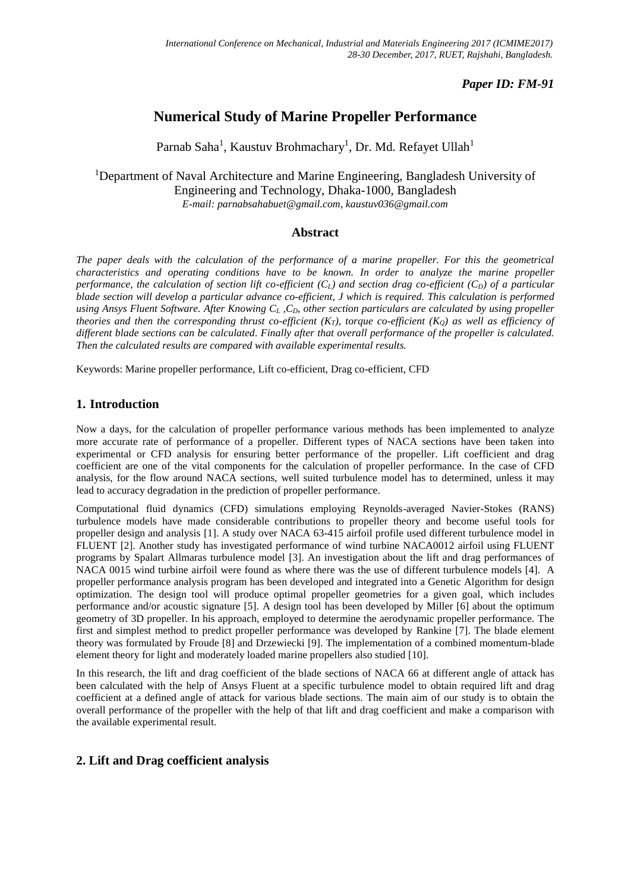## *Paper ID: FM-91*

# **Numerical Study of Marine Propeller Performance**

Parnab Saha<sup>1</sup>, Kaustuv Brohmachary<sup>1</sup>, Dr. Md. Refayet Ullah<sup>1</sup>

<sup>1</sup>Department of Naval Architecture and Marine Engineering, Bangladesh University of Engineering and Technology, Dhaka-1000, Bangladesh *E-mail: parnabsahabuet@gmail.com, kaustuv036@gmail.com*

## **Abstract**

*The paper deals with the calculation of the performance of a marine propeller. For this the geometrical characteristics and operating conditions have to be known. In order to analyze the marine propeller performance, the calculation of section lift co-efficient (C<sub><i>L*</sub>) and section drag co-efficient (C<sub>*D*</sub>) of a particular *blade section will develop a particular advance co-efficient, J which is required. This calculation is performed using Ansys Fluent Software. After Knowing C<sup>L</sup> ,CD, other section particulars are calculated by using propeller theories* and then the corresponding thrust co-efficient  $(K_T)$ , torque co-efficient  $(K_Q)$  as well as efficiency of *different blade sections can be calculated. Finally after that overall performance of the propeller is calculated. Then the calculated results are compared with available experimental results.*

Keywords: Marine propeller performance, Lift co-efficient, Drag co-efficient, CFD

## **1. Introduction**

Now a days, for the calculation of propeller performance various methods has been implemented to analyze more accurate rate of performance of a propeller. Different types of NACA sections have been taken into experimental or CFD analysis for ensuring better performance of the propeller. Lift coefficient and drag coefficient are one of the vital components for the calculation of propeller performance. In the case of CFD analysis, for the flow around NACA sections, well suited turbulence model has to determined, unless it may lead to accuracy degradation in the prediction of propeller performance.

Computational fluid dynamics (CFD) simulations employing Reynolds-averaged Navier-Stokes (RANS) turbulence models have made considerable contributions to propeller theory and become useful tools for propeller design and analysis [1]. A study over NACA 63-415 airfoil profile used different turbulence model in FLUENT [2]. Another study has investigated performance of wind turbine NACA0012 airfoil using FLUENT programs by Spalart Allmaras turbulence model [3]. An investigation about the lift and drag performances of NACA 0015 wind turbine airfoil were found as where there was the use of different turbulence models [4]. A propeller performance analysis program has been developed and integrated into a Genetic Algorithm for design optimization. The design tool will produce optimal propeller geometries for a given goal, which includes performance and/or acoustic signature [5]. A design tool has been developed by Miller [6] about the optimum geometry of 3D propeller. In his approach, employed to determine the aerodynamic propeller performance. The first and simplest method to predict propeller performance was developed by Rankine [7]. The blade element theory was formulated by Froude [8] and Drzewiecki [9]. The implementation of a combined momentum-blade element theory for light and moderately loaded marine propellers also studied [10].

In this research, the lift and drag coefficient of the blade sections of NACA 66 at different angle of attack has been calculated with the help of Ansys Fluent at a specific turbulence model to obtain required lift and drag coefficient at a defined angle of attack for various blade sections. The main aim of our study is to obtain the overall performance of the propeller with the help of that lift and drag coefficient and make a comparison with the available experimental result.

## **2. Lift and Drag coefficient analysis**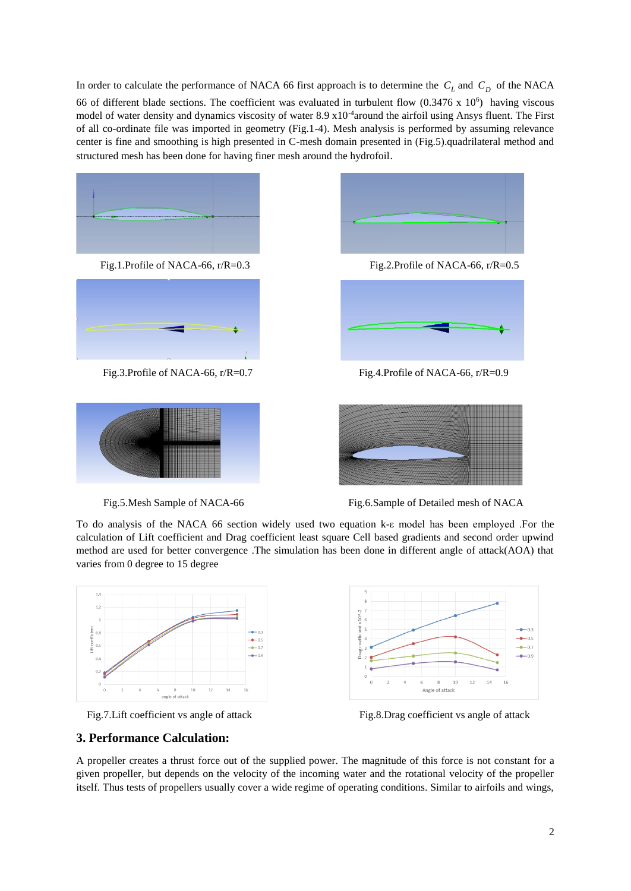In order to calculate the performance of NACA 66 first approach is to determine the  $C<sub>L</sub>$  and  $C<sub>D</sub>$  of the NACA 66 of different blade sections. The coefficient was evaluated in turbulent flow  $(0.3476 \times 10^6)$  having viscous model of water density and dynamics viscosity of water 8.9 x10<sup>-4</sup>around the airfoil using Ansys fluent. The First of all co-ordinate file was imported in geometry (Fig.1-4). Mesh analysis is performed by assuming relevance center is fine and smoothing is high presented in C-mesh domain presented in (Fig.5).quadrilateral method and structured mesh has been done for having finer mesh around the hydrofoil.









Fig.3.Profile of NACA-66, r/R=0.7 Fig.4.Profile of NACA-66, r/R=0.9



Fig.5. Mesh Sample of NACA-66 Fig.6.Sample of Detailed mesh of NACA

To do analysis of the NACA 66 section widely used two equation k-ε model has been employed .For the calculation of Lift coefficient and Drag coefficient least square Cell based gradients and second order upwind method are used for better convergence .The simulation has been done in different angle of attack(AOA) that varies from 0 degree to 15 degree



Fig.7.Lift coefficient vs angle of attack Fig.8.Drag coefficient vs angle of attack

## **3. Performance Calculation:**

A propeller creates a thrust force out of the supplied power. The magnitude of this force is not constant for a given propeller, but depends on the velocity of the incoming water and the rotational velocity of the propeller itself. Thus tests of propellers usually cover a wide regime of operating conditions. Similar to airfoils and wings,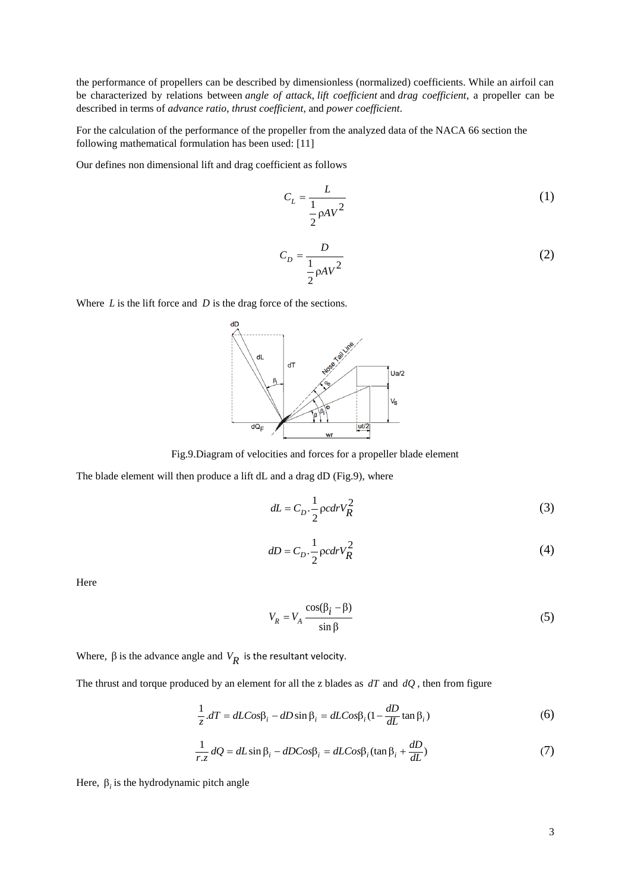the performance of propellers can be described by dimensionless (normalized) coefficients. While an airfoil can be characterized by relations between *angle of attack*, *lift coefficient* and *drag coefficient*, a propeller can be described in terms of *advance ratio*, *thrust coefficient*, and *power coefficient*.

For the calculation of the performance of the propeller from the analyzed data of the NACA 66 section the following mathematical formulation has been used: [11]

Our defines non dimensional lift and drag coefficient as follows

$$
C_L = \frac{L}{\frac{1}{2}\rho A V^2}
$$
 (1)

$$
C_D = \frac{D}{\frac{1}{2}\rho A V^2}
$$
 (2)

Where  $L$  is the lift force and  $D$  is the drag force of the sections.



Fig.9.Diagram of velocities and forces for a propeller blade element

The blade element will then produce a lift dL and a drag dD (Fig.9), where

$$
dL = C_D \cdot \frac{1}{2} \rho c dr V_R^2 \tag{3}
$$

$$
dD = C_D \cdot \frac{1}{2} \rho c dr V_R^2 \tag{4}
$$

Here

$$
V_R = V_A \frac{\cos(\beta_i - \beta)}{\sin \beta} \tag{5}
$$

Where,  $\beta$  is the advance angle and  $V_R$  is the resultant velocity.

The thrust and torque produced by an element for all the z blades as  $dT$  and  $dQ$ , then from figure

$$
\frac{1}{z} \cdot dT = dL \cos\beta_i - dD \sin\beta_i = dL \cos\beta_i (1 - \frac{dD}{dL} \tan\beta_i)
$$
\n(6)

$$
\frac{1}{r.z} dQ = dL \sin \beta_i - dDCos \beta_i = dLCos \beta_i (\tan \beta_i + \frac{dD}{dL})
$$
\n(7)

Here,  $\beta$ <sub>i</sub> is the hydrodynamic pitch angle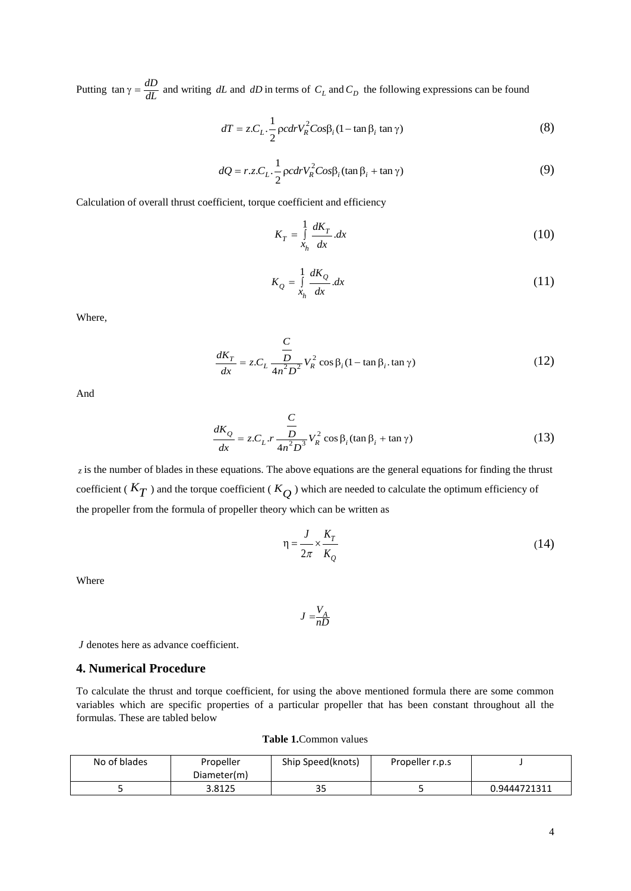Putting  $\tan \gamma = \frac{dD}{dL}$  and writing  $dL$  and  $dD$  in terms of  $C_L$  and  $C_D$  the following expressions can be found

$$
dT = z.C_L \cdot \frac{1}{2} \rho c dr V_R^2 C \sigma s \beta_i (1 - \tan \beta_i \tan \gamma)
$$
 (8)

$$
dQ = r.z.C_L \cdot \frac{1}{2} \rho c dr V_R^2 C \sigma s \beta_i (\tan \beta_i + \tan \gamma)
$$
\n(9)

Calculation of overall thrust coefficient, torque coefficient and efficiency

$$
K_T = \int_{x_h}^{1} \frac{dK_T}{dx} dx
$$
 (10)

$$
K_Q = \int_{x_h}^{1} \frac{dK_Q}{dx} dx
$$
 (11)

Where,

$$
\frac{dK_T}{dx} = z.C_L \frac{D}{4n^2 D^2} V_R^2 \cos \beta_i (1 - \tan \beta_i \cdot \tan \gamma)
$$
\n(12)

And

$$
\frac{dK_Q}{dx} = z.C_L.r \frac{\frac{C}{D}}{4n^2 D^3} V_R^2 \cos \beta_i (\tan \beta_i + \tan \gamma)
$$
\n(13)

 $z$  is the number of blades in these equations. The above equations are the general equations for finding the thrust coefficient (  $K_T$  ) and the torque coefficient (  $K_Q$  ) which are needed to calculate the optimum efficiency of the propeller from the formula of propeller theory which can be written as

$$
\eta = \frac{J}{2\pi} \times \frac{K_T}{K_Q} \tag{14}
$$

Where

$$
J = \frac{V_A}{nD}
$$

*J* denotes here as advance coefficient.

### **4. Numerical Procedure**

To calculate the thrust and torque coefficient, for using the above mentioned formula there are some common variables which are specific properties of a particular propeller that has been constant throughout all the formulas. These are tabled below

**Table 1.**Common values

| No of blades | Propeller<br>Diameter(m) | Ship Speed(knots) | Propeller r.p.s |              |
|--------------|--------------------------|-------------------|-----------------|--------------|
|              | 3.8125                   | 35                |                 | 0.9444721311 |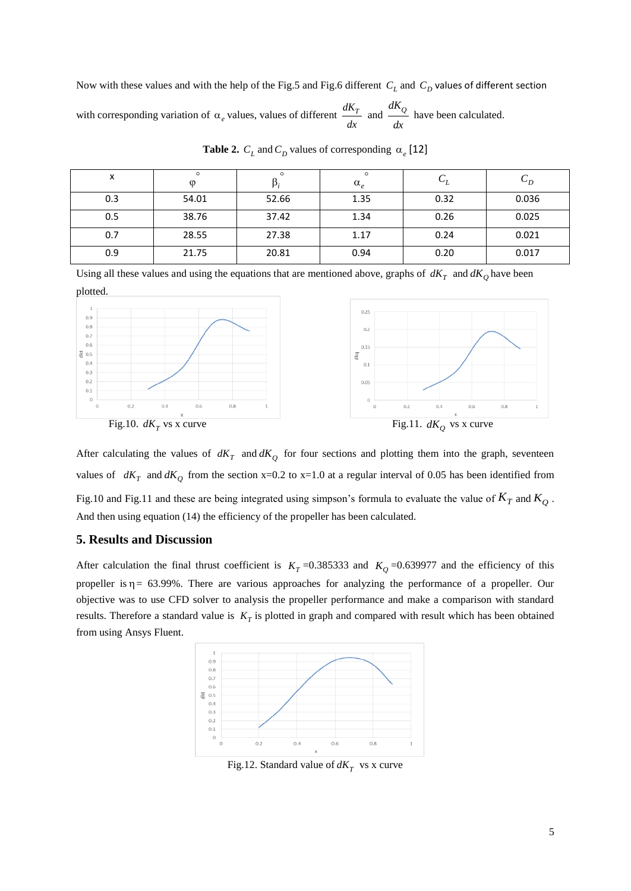Now with these values and with the help of the Fig.5 and Fig.6 different  $C_L$  and  $C_D$  values of different section with corresponding variation of  $\alpha_e$  values, values of different  $\frac{dK_T}{d\sigma}$ *dx* and  $\frac{dK_Q}{d}$ *dx* have been calculated.

| x   | O     |       | $\circ$<br>$\alpha_e$ |      |       |
|-----|-------|-------|-----------------------|------|-------|
| 0.3 | 54.01 | 52.66 | 1.35                  | 0.32 | 0.036 |
| 0.5 | 38.76 | 37.42 | 1.34                  | 0.26 | 0.025 |
| 0.7 | 28.55 | 27.38 | 1.17                  | 0.24 | 0.021 |
| 0.9 | 21.75 | 20.81 | 0.94                  | 0.20 | 0.017 |

**Table 2.**  $C_L$  and  $C_D$  values of corresponding  $\alpha_e$  [12]

Using all these values and using the equations that are mentioned above, graphs of  $dK_T$  and  $dK_Q$  have been



After calculating the values of  $dK_T$  and  $dK_Q$  for four sections and plotting them into the graph, seventeen values of  $dK_T$  and  $dK_Q$  from the section x=0.2 to x=1.0 at a regular interval of 0.05 has been identified from Fig.10 and Fig.11 and these are being integrated using simpson's formula to evaluate the value of  $K_T$  and  $K_Q$ . And then using equation (14) the efficiency of the propeller has been calculated.

#### **5. Results and Discussion**

After calculation the final thrust coefficient is  $K_T = 0.385333$  and  $K_Q = 0.639977$  and the efficiency of this propeller is  $\eta = 63.99\%$ . There are various approaches for analyzing the performance of a propeller. Our objective was to use CFD solver to analysis the propeller performance and make a comparison with standard results. Therefore a standard value is  $K<sub>T</sub>$  is plotted in graph and compared with result which has been obtained from using Ansys Fluent.



Fig.12. Standard value of  $dK_T$  vs x curve